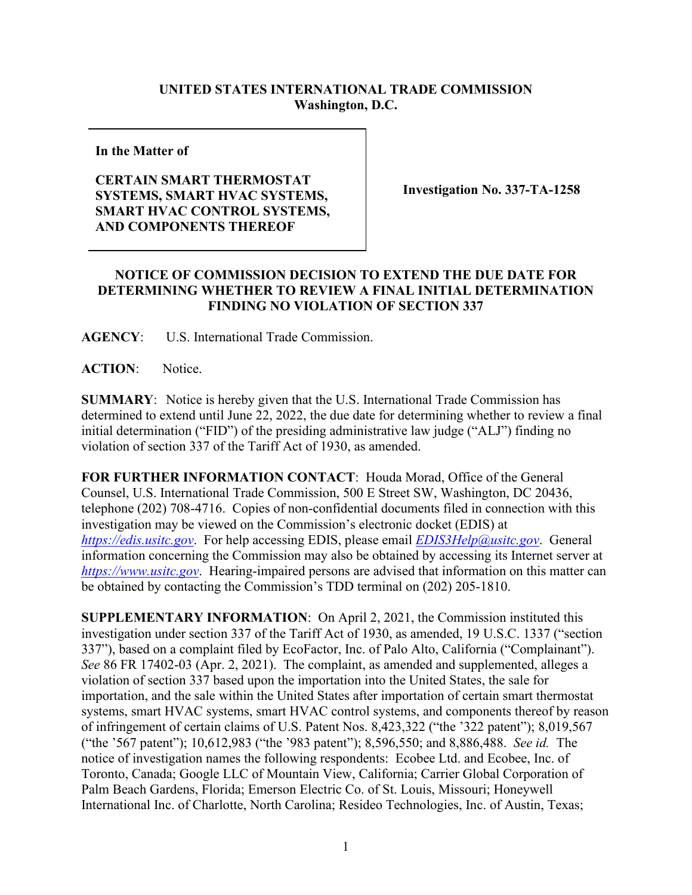## **UNITED STATES INTERNATIONAL TRADE COMMISSION Washington, D.C.**

**In the Matter of**

## **CERTAIN SMART THERMOSTAT SYSTEMS, SMART HVAC SYSTEMS, SMART HVAC CONTROL SYSTEMS, AND COMPONENTS THEREOF**

**Investigation No. 337-TA-1258**

## **NOTICE OF COMMISSION DECISION TO EXTEND THE DUE DATE FOR DETERMINING WHETHER TO REVIEW A FINAL INITIAL DETERMINATION FINDING NO VIOLATION OF SECTION 337**

**AGENCY**: U.S. International Trade Commission.

**ACTION**: Notice.

**SUMMARY**: Notice is hereby given that the U.S. International Trade Commission has determined to extend until June 22, 2022, the due date for determining whether to review a final initial determination ("FID") of the presiding administrative law judge ("ALJ") finding no violation of section 337 of the Tariff Act of 1930, as amended.

**FOR FURTHER INFORMATION CONTACT**: Houda Morad, Office of the General Counsel, U.S. International Trade Commission, 500 E Street SW, Washington, DC 20436, telephone (202) 708-4716. Copies of non-confidential documents filed in connection with this investigation may be viewed on the Commission's electronic docket (EDIS) at *[https://edis.usitc.gov](https://edis.usitc.gov/)*. For help accessing EDIS, please email *[EDIS3Help@usitc.gov](mailto:EDIS3Help@usitc.gov)*. General information concerning the Commission may also be obtained by accessing its Internet server at *[https://www.usitc.gov](https://www.usitc.gov/)*. Hearing-impaired persons are advised that information on this matter can be obtained by contacting the Commission's TDD terminal on (202) 205-1810.

**SUPPLEMENTARY INFORMATION**: On April 2, 2021, the Commission instituted this investigation under section 337 of the Tariff Act of 1930, as amended, 19 U.S.C. 1337 ("section 337"), based on a complaint filed by EcoFactor, Inc. of Palo Alto, California ("Complainant"). *See* 86 FR 17402-03 (Apr. 2, 2021). The complaint, as amended and supplemented, alleges a violation of section 337 based upon the importation into the United States, the sale for importation, and the sale within the United States after importation of certain smart thermostat systems, smart HVAC systems, smart HVAC control systems, and components thereof by reason of infringement of certain claims of U.S. Patent Nos. 8,423,322 ("the '322 patent"); 8,019,567 ("the '567 patent"); 10,612,983 ("the '983 patent"); 8,596,550; and 8,886,488. *See id.* The notice of investigation names the following respondents: Ecobee Ltd. and Ecobee, Inc. of Toronto, Canada; Google LLC of Mountain View, California; Carrier Global Corporation of Palm Beach Gardens, Florida; Emerson Electric Co. of St. Louis, Missouri; Honeywell International Inc. of Charlotte, North Carolina; Resideo Technologies, Inc. of Austin, Texas;